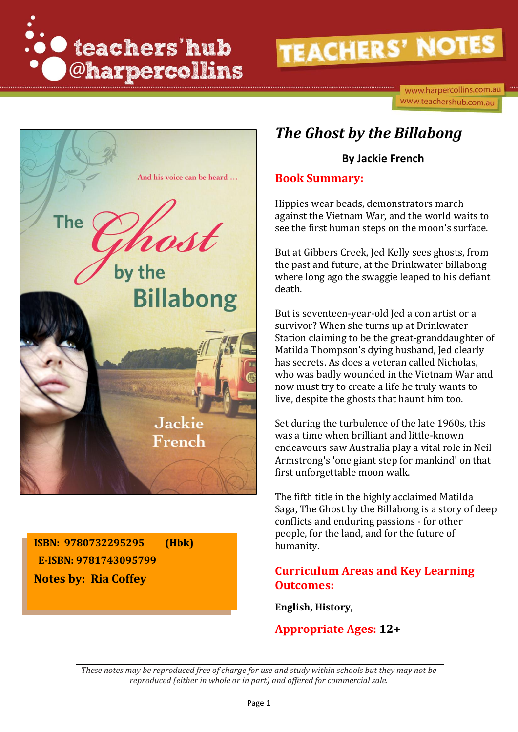

www.harpercollins.com.au www.teachershub.com.au



**ISBN: 9780732295295 (Hbk) E-ISBN: 9781743095799 Notes by: Ria Coffey**

## *The Ghost by the Billabong*

#### **By Jackie French**

#### **Book Summary:**

Hippies wear beads, demonstrators march against the Vietnam War, and the world waits to see the first human steps on the moon's surface.

But at Gibbers Creek, Jed Kelly sees ghosts, from the past and future, at the Drinkwater billabong where long ago the swaggie leaped to his defiant death.

But is seventeen-year-old Jed a con artist or a survivor? When she turns up at Drinkwater Station claiming to be the great-granddaughter of Matilda Thompson's dying husband, Jed clearly has secrets. As does a veteran called Nicholas, who was badly wounded in the Vietnam War and now must try to create a life he truly wants to live, despite the ghosts that haunt him too.

Set during the turbulence of the late 1960s, this was a time when brilliant and little-known endeavours saw Australia play a vital role in Neil Armstrong's 'one giant step for mankind' on that first unforgettable moon walk.

The fifth title in the highly acclaimed Matilda Saga, The Ghost by the Billabong is a story of deep conflicts and enduring passions - for other people, for the land, and for the future of humanity.

#### **Curriculum Areas and Key Learning Outcomes:**

**English, History,**

#### **Appropriate Ages: 12+**

*These notes may be reproduced free of charge for use and study within schools but they may not be reproduced (either in whole or in part) and offered for commercial sale.*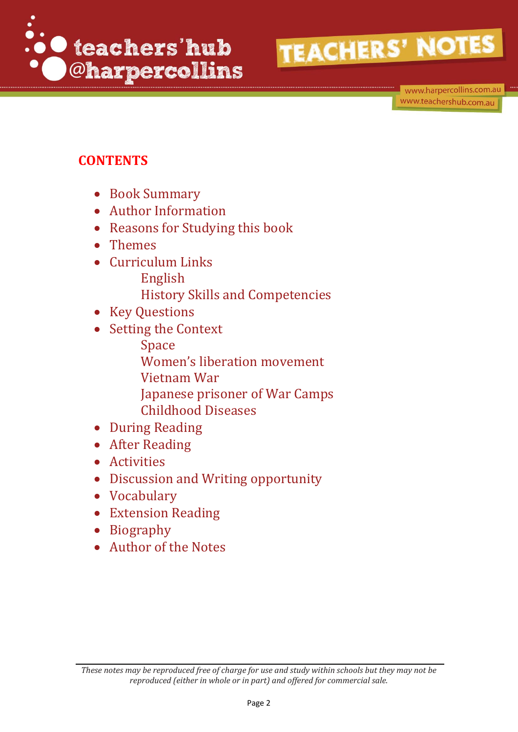

www.harpercollins.com.au www.teachershub.com.au

## **CONTENTS**

- Book Summary
- Author Information
- Reasons for Studying this book
- Themes
- Curriculum Links English
	- History Skills and Competencies
- Key Questions
- Setting the Context
	- Space
	- Women's liberation movement
	- Vietnam War
	- Japanese prisoner of War Camps Childhood Diseases
	-
- During Reading After Reading
- 
- Activities
- Discussion and Writing opportunity
- Vocabulary
- Extension Reading
- Biography
- Author of the Notes

*These notes may be reproduced free of charge for use and study within schools but they may not be reproduced (either in whole or in part) and offered for commercial sale.*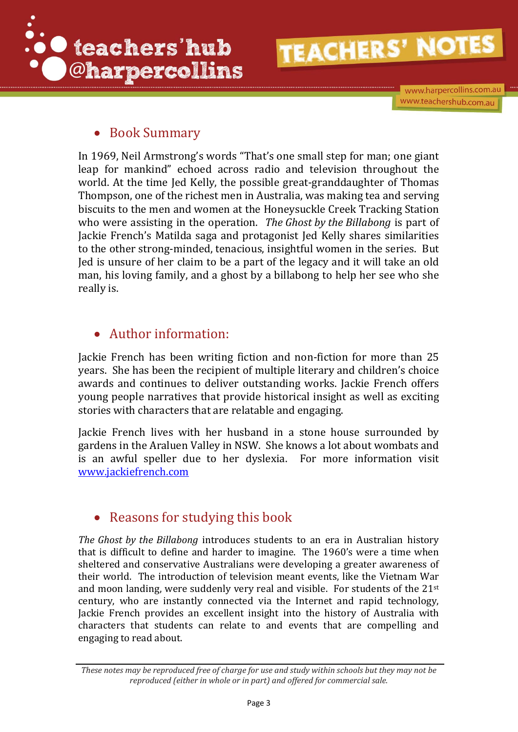

www.harpercollins.com.au www.teachershub.com.au

#### • Book Summary

In 1969, Neil Armstrong's words "That's one small step for man; one giant leap for mankind" echoed across radio and television throughout the world. At the time Jed Kelly, the possible great-granddaughter of Thomas Thompson, one of the richest men in Australia, was making tea and serving biscuits to the men and women at the Honeysuckle Creek Tracking Station who were assisting in the operation. *The Ghost by the Billabong* is part of Jackie French's Matilda saga and protagonist Jed Kelly shares similarities to the other strong-minded, tenacious, insightful women in the series. But Jed is unsure of her claim to be a part of the legacy and it will take an old man, his loving family, and a ghost by a billabong to help her see who she really is.

### Author information:

Jackie French has been writing fiction and non-fiction for more than 25 years. She has been the recipient of multiple literary and children's choice awards and continues to deliver outstanding works. Jackie French offers young people narratives that provide historical insight as well as exciting stories with characters that are relatable and engaging.

Jackie French lives with her husband in a stone house surrounded by gardens in the Araluen Valley in NSW. She knows a lot about wombats and is an awful speller due to her dyslexia. For more information visit [www.jackiefrench.com](http://www.jackiefrench.com/)

### • Reasons for studying this book

*The Ghost by the Billabong* introduces students to an era in Australian history that is difficult to define and harder to imagine. The 1960's were a time when sheltered and conservative Australians were developing a greater awareness of their world. The introduction of television meant events, like the Vietnam War and moon landing, were suddenly very real and visible. For students of the 21st century, who are instantly connected via the Internet and rapid technology, Jackie French provides an excellent insight into the history of Australia with characters that students can relate to and events that are compelling and engaging to read about.

*These notes may be reproduced free of charge for use and study within schools but they may not be reproduced (either in whole or in part) and offered for commercial sale.*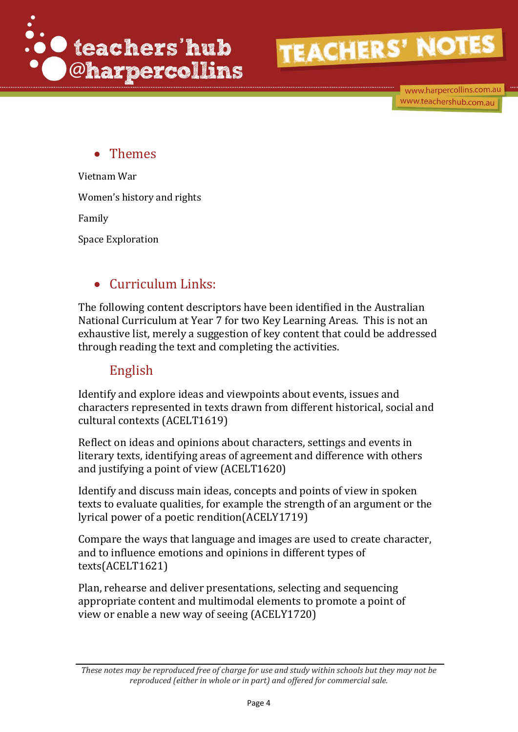

www.harpercollins.com.au www.teachershub.com.au

### Themes

Vietnam War Women's history and rights Family Space Exploration

### Curriculum Links:

The following content descriptors have been identified in the Australian National Curriculum at Year 7 for two Key Learning Areas. This is not an exhaustive list, merely a suggestion of key content that could be addressed through reading the text and completing the activities.

#### English

Identify and explore ideas and viewpoints about events, issues and characters represented in texts drawn from different historical, social and cultural contexts [\(ACELT1619\)](http://www.australiancurriculum.edu.au/curriculum/contentdescription/ACELT1619)

Reflect on ideas and opinions about characters, settings and events in literary texts, identifying areas of agreement and difference with others and justifying a [point of view](http://www.australiancurriculum.edu.au/glossary/popup?a=E&t=point+of+view) [\(ACELT1620\)](http://www.australiancurriculum.edu.au/curriculum/contentdescription/ACELT1620)

Identify and discuss main ideas, concepts and points of [view](http://www.australiancurriculum.edu.au/glossary/popup?a=E&t=view) in spoken texts to evaluate qualities, for example the strength of an argument or the lyrical power of a poetic renditio[n\(ACELY1719\)](http://www.australiancurriculum.edu.au/curriculum/contentdescription/ACELY1719)

Compare the ways that language and images are used to [create](http://www.australiancurriculum.edu.au/glossary/popup?a=E&t=create) character, and to influence emotions and opinions in different [types of](http://www.australiancurriculum.edu.au/glossary/popup?a=E&t=types+of+texts)  [texts\(ACELT1621\)](http://www.australiancurriculum.edu.au/glossary/popup?a=E&t=types+of+texts)

Plan, rehearse and deliver presentations, selecting and sequencing appropriate content and multimodal elements to promote a [point of](http://www.australiancurriculum.edu.au/glossary/popup?a=E&t=point+of+view)  [view](http://www.australiancurriculum.edu.au/glossary/popup?a=E&t=point+of+view) or enable a new way of seeing [\(ACELY1720\)](http://www.australiancurriculum.edu.au/curriculum/contentdescription/ACELY1720)

*These notes may be reproduced free of charge for use and study within schools but they may not be reproduced (either in whole or in part) and offered for commercial sale.*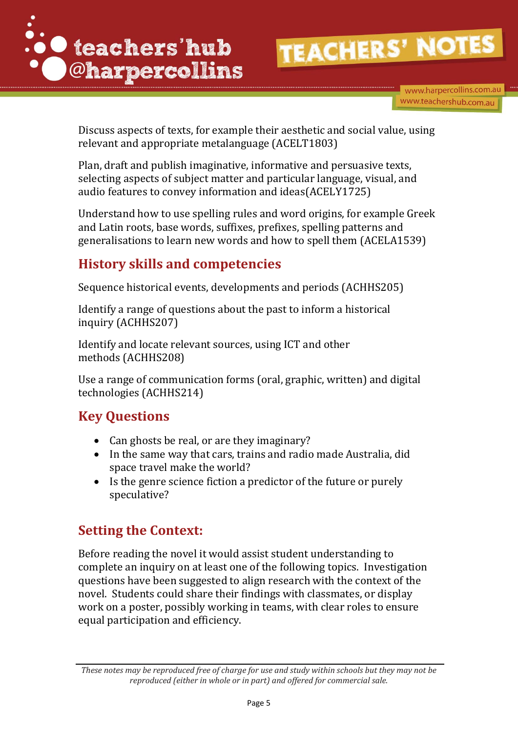



Discuss aspects of texts, for example their [aesthetic](http://www.australiancurriculum.edu.au/glossary/popup?a=E&t=aesthetic) and social value, using relevant and appropriate [metalanguage](http://www.australiancurriculum.edu.au/glossary/popup?a=E&t=metalanguage) [\(ACELT1803\)](http://www.australiancurriculum.edu.au/curriculum/contentdescription/ACELT1803)

Plan, draft and publish imaginative, informative and persuasive texts, selecting aspects of [subject](http://www.australiancurriculum.edu.au/glossary/popup?a=E&t=subject) matter and particular language, visual, and audio features to convey information and idea[s\(ACELY1725\)](http://www.australiancurriculum.edu.au/curriculum/contentdescription/ACELY1725)

Understand how to use spelling rules and word origins, for example Greek and Latin roots, base words, suffixes, prefixes, spelling patterns and generalisations to learn new words and how to spell them [\(ACELA1539\)](http://www.australiancurriculum.edu.au/curriculum/contentdescription/ACELA1539)

## **History skills and competencies**

Sequence historical events, developments and periods [\(ACHHS205\)](http://www.australiancurriculum.edu.au/curriculum/contentdescription/ACHHS205)

Identify a range of questions about the past to inform a [historical](http://www.australiancurriculum.edu.au/glossary/popup?a=H&t=Historical+inquiry)  [inquiry](http://www.australiancurriculum.edu.au/glossary/popup?a=H&t=Historical+inquiry) [\(ACHHS207\)](http://www.australiancurriculum.edu.au/curriculum/contentdescription/ACHHS207)

Identify and locate relevant sources, using ICT and other methods [\(ACHHS208\)](http://www.australiancurriculum.edu.au/curriculum/contentdescription/ACHHS208)

Use a range of communication forms (oral, graphic, written) and digital technologies [\(ACHHS214\)](http://www.australiancurriculum.edu.au/curriculum/contentdescription/ACHHS214)

## **Key Questions**

- Can ghosts be real, or are they imaginary?
- In the same way that cars, trains and radio made Australia, did space travel make the world?
- Is the genre science fiction a predictor of the future or purely speculative?

## **Setting the Context:**

Before reading the novel it would assist student understanding to complete an inquiry on at least one of the following topics. Investigation questions have been suggested to align research with the context of the novel. Students could share their findings with classmates, or display work on a poster, possibly working in teams, with clear roles to ensure equal participation and efficiency.

*These notes may be reproduced free of charge for use and study within schools but they may not be reproduced (either in whole or in part) and offered for commercial sale.*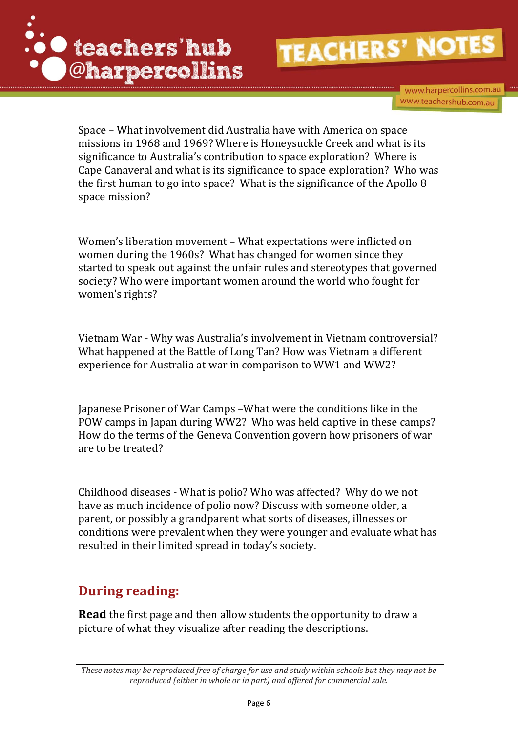

www.harpercollins.com.au www.teachershub.com.au

Space – What involvement did Australia have with America on space missions in 1968 and 1969? Where is Honeysuckle Creek and what is its significance to Australia's contribution to space exploration? Where is Cape Canaveral and what is its significance to space exploration? Who was the first human to go into space? What is the significance of the Apollo 8 space mission?

Women's liberation movement – What expectations were inflicted on women during the 1960s? What has changed for women since they started to speak out against the unfair rules and stereotypes that governed society? Who were important women around the world who fought for women's rights?

Vietnam War - Why was Australia's involvement in Vietnam controversial? What happened at the Battle of Long Tan? How was Vietnam a different experience for Australia at war in comparison to WW1 and WW2?

Japanese Prisoner of War Camps –What were the conditions like in the POW camps in Japan during WW2? Who was held captive in these camps? How do the terms of the Geneva Convention govern how prisoners of war are to be treated?

Childhood diseases - What is polio? Who was affected? Why do we not have as much incidence of polio now? Discuss with someone older, a parent, or possibly a grandparent what sorts of diseases, illnesses or conditions were prevalent when they were younger and evaluate what has resulted in their limited spread in today's society.

## **During reading:**

**Read** the first page and then allow students the opportunity to draw a picture of what they visualize after reading the descriptions.

*These notes may be reproduced free of charge for use and study within schools but they may not be reproduced (either in whole or in part) and offered for commercial sale.*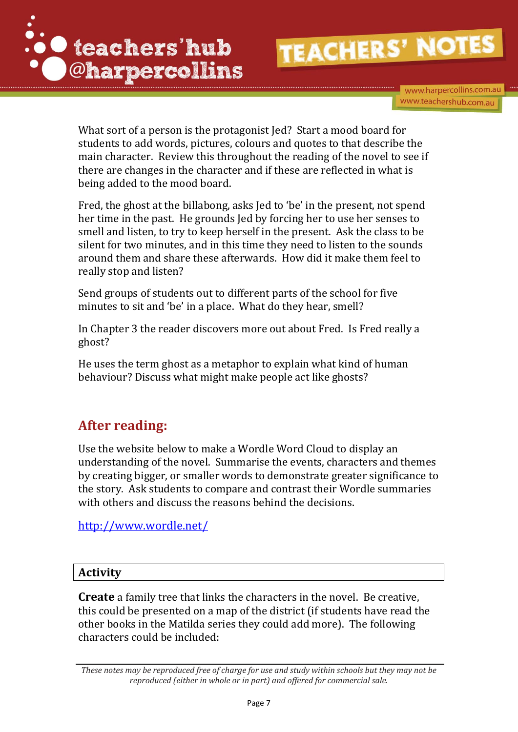

www.harpercollins.com.au www.teachershub.com.au

What sort of a person is the protagonist Jed? Start a mood board for students to add words, pictures, colours and quotes to that describe the main character. Review this throughout the reading of the novel to see if there are changes in the character and if these are reflected in what is being added to the mood board.

Fred, the ghost at the billabong, asks Jed to 'be' in the present, not spend her time in the past. He grounds Jed by forcing her to use her senses to smell and listen, to try to keep herself in the present. Ask the class to be silent for two minutes, and in this time they need to listen to the sounds around them and share these afterwards. How did it make them feel to really stop and listen?

Send groups of students out to different parts of the school for five minutes to sit and 'be' in a place. What do they hear, smell?

In Chapter 3 the reader discovers more out about Fred. Is Fred really a ghost?

He uses the term ghost as a metaphor to explain what kind of human behaviour? Discuss what might make people act like ghosts?

## **After reading:**

Use the website below to make a Wordle Word Cloud to display an understanding of the novel. Summarise the events, characters and themes by creating bigger, or smaller words to demonstrate greater significance to the story. Ask students to compare and contrast their Wordle summaries with others and discuss the reasons behind the decisions.

<http://www.wordle.net/>

#### **Activity**

**Create** a family tree that links the characters in the novel. Be creative, this could be presented on a map of the district (if students have read the other books in the Matilda series they could add more). The following characters could be included:

*These notes may be reproduced free of charge for use and study within schools but they may not be reproduced (either in whole or in part) and offered for commercial sale.*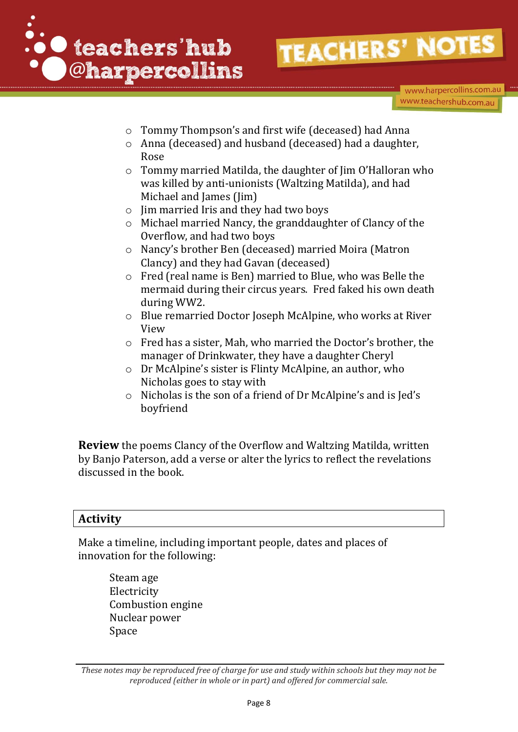

www.harpercollins.com.au www.teachershub.com.au

- o Tommy Thompson's and first wife (deceased) had Anna
- o Anna (deceased) and husband (deceased) had a daughter, Rose
- o Tommy married Matilda, the daughter of Jim O'Halloran who was killed by anti-unionists (Waltzing Matilda), and had Michael and James (Jim)
- o Jim married Iris and they had two boys
- o Michael married Nancy, the granddaughter of Clancy of the Overflow, and had two boys
- o Nancy's brother Ben (deceased) married Moira (Matron Clancy) and they had Gavan (deceased)
- o Fred (real name is Ben) married to Blue, who was Belle the mermaid during their circus years. Fred faked his own death during WW2.
- o Blue remarried Doctor Joseph McAlpine, who works at River View
- o Fred has a sister, Mah, who married the Doctor's brother, the manager of Drinkwater, they have a daughter Cheryl
- o Dr McAlpine's sister is Flinty McAlpine, an author, who Nicholas goes to stay with
- o Nicholas is the son of a friend of Dr McAlpine's and is Jed's boyfriend

**Review** the poems Clancy of the Overflow and Waltzing Matilda, written by Banjo Paterson, add a verse or alter the lyrics to reflect the revelations discussed in the book.

#### **Activity**

Make a timeline, including important people, dates and places of innovation for the following:

Steam age Electricity Combustion engine Nuclear power Space

*These notes may be reproduced free of charge for use and study within schools but they may not be reproduced (either in whole or in part) and offered for commercial sale.*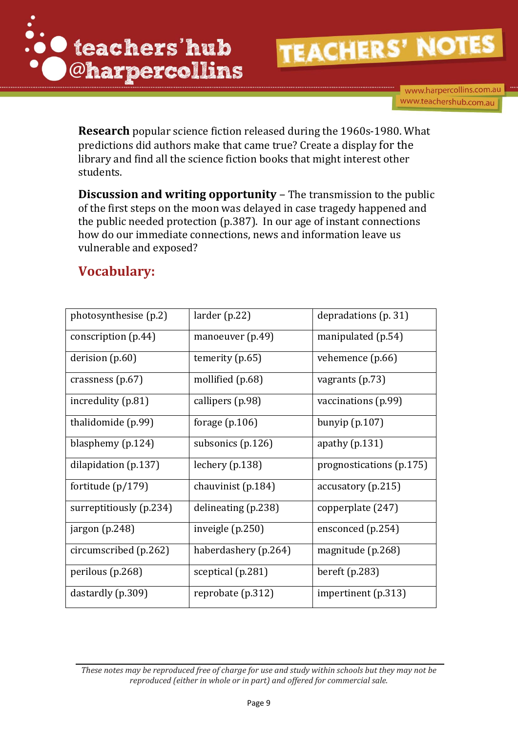

www.harpercollins.com.au www.teachershub.com.au

**Research** popular science fiction released during the 1960s-1980. What predictions did authors make that came true? Create a display for the library and find all the science fiction books that might interest other students.

**Discussion and writing opportunity – The transmission to the public** of the first steps on the moon was delayed in case tragedy happened and the public needed protection (p.387). In our age of instant connections how do our immediate connections, news and information leave us vulnerable and exposed?

## **Vocabulary:**

| photosynthesise (p.2)   | larger(p.22)         | depradations (p. 31)     |
|-------------------------|----------------------|--------------------------|
| conscription $(p.44)$   | manoeuver (p.49)     | manipulated (p.54)       |
| derision (p.60)         | temerity (p.65)      | vehemence (p.66)         |
| crassness $(p.67)$      | mollified (p.68)     | vagrants $(p.73)$        |
| incredulity (p.81)      | callipers (p.98)     | vaccinations (p.99)      |
| thalidomide (p.99)      | forage $(p.106)$     | bunyip $(p.107)$         |
| blasphemy (p.124)       | subsonics (p.126)    | apathy $(p.131)$         |
| dilapidation $(p.137)$  | lechery $(p.138)$    | prognostications (p.175) |
| fortitude (p/179)       | chauvinist $(p.184)$ | accuracy(p.215)          |
| surreptitiously (p.234) | delineating (p.238)  | copperplate (247)        |
| jargon (p.248)          | inveigle $(p.250)$   | ensconced (p.254)        |
| circumscribed (p.262)   | haberdashery (p.264) | magnitude (p.268)        |
| perilous (p.268)        | sceptical (p.281)    | bereft $(p.283)$         |
| dastardly (p.309)       | reprobate (p.312)    | impertinent (p.313)      |

*These notes may be reproduced free of charge for use and study within schools but they may not be reproduced (either in whole or in part) and offered for commercial sale.*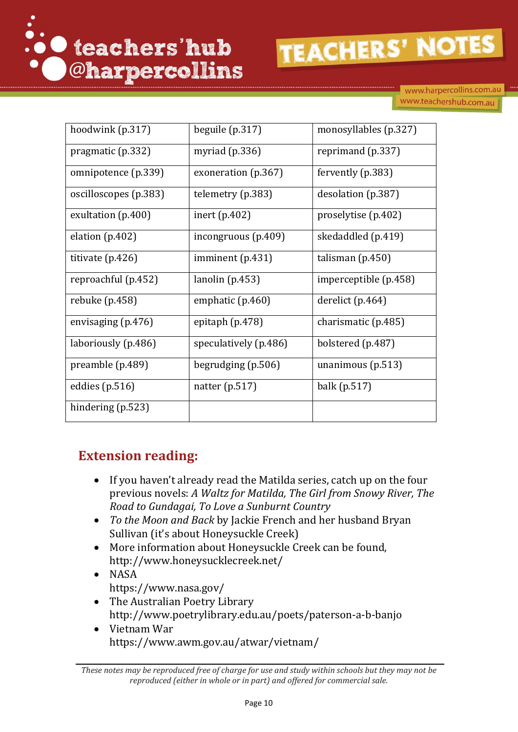

www.harpercollins.com.au www.teachershub.com.au

| hoodwink (p.317)      | beguile $(p.317)$     | monosyllables (p.327) |
|-----------------------|-----------------------|-----------------------|
| pragmatic (p.332)     | myriad $(p.336)$      | reprimand (p.337)     |
| omnipotence (p.339)   | exoneration (p.367)   | fervently $(p.383)$   |
| oscilloscopes (p.383) | telemetry (p.383)     | desolation (p.387)    |
| exultation (p.400)    | inert $(p.402)$       | proselytise (p.402)   |
| elation $(p.402)$     | incongruous (p.409)   | skedaddled (p.419)    |
| titivate $(p.426)$    | imminent $(p.431)$    | talisman $(p.450)$    |
| reproachful (p.452)   | lanolin(p.453)        | imperceptible (p.458) |
| rebuke $(p.458)$      | emphatic (p.460)      | derelict (p.464)      |
| envisaging (p.476)    | epitaph $(p.478)$     | charismatic (p.485)   |
| laboriously (p.486)   | speculatively (p.486) | bolstered (p.487)     |
| preamble (p.489)      | begrudging $(p.506)$  | unanimous $(p.513)$   |
| eddies (p.516)        | natter $(p.517)$      | balk (p.517)          |
| hindering (p.523)     |                       |                       |

### **Extension reading:**

- If you haven't already read the Matilda series, catch up on the four previous novels: *A Waltz for Matilda, The Girl from Snowy River, The Road to Gundagai, To Love a Sunburnt Country*
- *To the Moon and Back* by Jackie French and her husband Bryan Sullivan (it's about Honeysuckle Creek)
- More information about Honeysuckle Creek can be found, <http://www.honeysucklecreek.net/>
- NASA <https://www.nasa.gov/>
- The Australian Poetry Library <http://www.poetrylibrary.edu.au/poets/paterson-a-b-banjo>
- Vietnam War https://www.awm.gov.au/atwar/vietnam/

*These notes may be reproduced free of charge for use and study within schools but they may not be reproduced (either in whole or in part) and offered for commercial sale.*